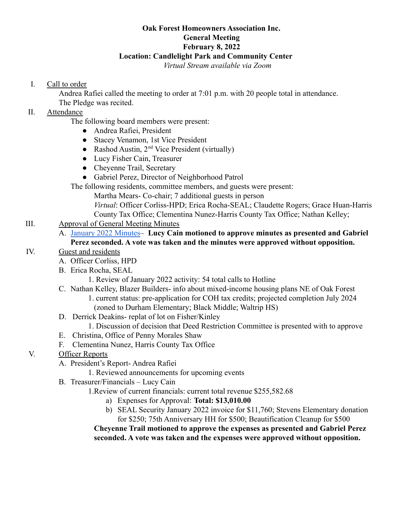#### **Oak Forest Homeowners Association Inc. General Meeting February 8, 2022 Location: Candlelight Park and Community Center** *Virtual Stream available via Zoom*

### I. Call to order

Andrea Rafiei called the meeting to order at 7:01 p.m. with 20 people total in attendance. The Pledge was recited.

## II. Attendance

The following board members were present:

- Andrea Rafiei, President
- Stacey Venamon, 1st Vice President
- Rashod Austin,  $2<sup>nd</sup>$  Vice President (virtually)
- Lucy Fisher Cain, Treasurer
- Cheyenne Trail, Secretary
- Gabriel Perez, Director of Neighborhood Patrol

The following residents, committee members, and guests were present:

Martha Mears- Co-chair; 7 additional guests in person

*Virtual*: Officer Corliss-HPD; Erica Rocha-SEAL; Claudette Rogers; Grace Huan-Harris County Tax Office; Clementina Nunez-Harris County Tax Office; Nathan Kelley;

# III. Approval of General Meeting Minutes

A. [January 2022 Minutes–](https://drive.google.com/file/d/1s6mJ_nSF4EeVLaHqCDGv9sV5rEos7XYX/view?usp=sharing) **Lucy Cain motioned to approve minutes as presented and Gabriel Perez seconded. A vote was taken and the minutes were approved without opposition.**

## IV. Guest and residents

- A. Officer Corliss, HPD
- B. Erica Rocha, SEAL
	- 1. Review of January 2022 activity: 54 total calls to Hotline
- C. Nathan Kelley, Blazer Builders- info about mixed-income housing plans NE of Oak Forest 1. current status: pre-application for COH tax credits; projected completion July 2024 (zoned to Durham Elementary; Black Middle; Waltrip HS)
- D. Derrick Deakins- replat of lot on Fisher/Kinley
	- 1. Discussion of decision that Deed Restriction Committee is presented with to approve
- E. Christina, Office of Penny Morales Shaw
- F. Clementina Nunez, Harris County Tax Office

## V. Officer Reports

- A. President's Report- Andrea Rafiei
	- 1. Reviewed announcements for upcoming events
- B. Treasurer/Financials Lucy Cain

## 1.Review of current financials: current total revenue \$255,582.68

- a) Expenses for Approval: **Total: \$13,010.00**
- b) SEAL Security January 2022 invoice for \$11,760; Stevens Elementary donation for \$250; 75th Anniversary HH for \$500; Beautification Cleanup for \$500

**Cheyenne Trail motioned to approve the expenses as presented and Gabriel Perez seconded. A vote was taken and the expenses were approved without opposition.**